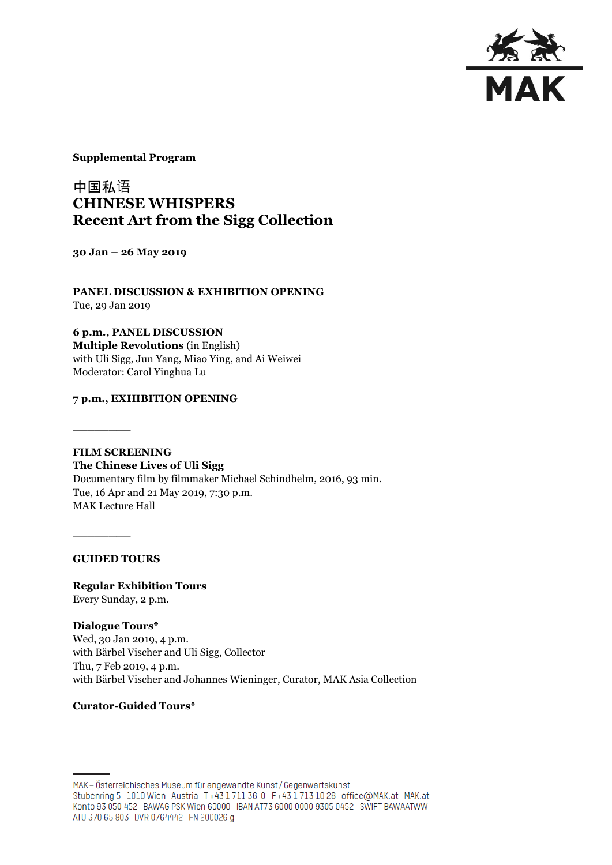

**Supplemental Program**

# 中国私语 **CHINESE WHISPERS Recent Art from the Sigg Collection**

**30 Jan – 26 May 2019**

**PANEL DISCUSSION & EXHIBITION OPENING** Tue, 29 Jan 2019

**6 p.m., PANEL DISCUSSION Multiple Revolutions** (in English) with Uli Sigg, Jun Yang, Miao Ying, and Ai Weiwei Moderator: Carol Yinghua Lu

### **7 p.m., EXHIBITION OPENING**

**FILM SCREENING The Chinese Lives of Uli Sigg**  Documentary film by filmmaker Michael Schindhelm, 2016, 93 min. Tue, 16 Apr and 21 May 2019, 7:30 p.m. MAK Lecture Hall

**GUIDED TOURS**

**\_\_\_\_\_\_\_\_**

**\_\_\_\_\_\_\_\_**

**Regular Exhibition Tours** Every Sunday, 2 p.m.

**Dialogue Tours\*** Wed, 30 Jan 2019, 4 p.m. with Bärbel Vischer and Uli Sigg, Collector Thu, 7 Feb 2019, 4 p.m. with Bärbel Vischer and Johannes Wieninger, Curator, MAK Asia Collection

#### **Curator-Guided Tours\***

MAK-Österreichisches Museum für angewandte Kunst/Gegenwartskunst Stubenring 5 1010 Wien Austria T+43 1711 36-0 F+43 1713 10 26 office@MAK.at MAK.at Konto 93 050 452 BAWAG PSK Wien 60000 IBAN AT73 6000 0000 9305 0452 SWIFT BAWAATWW ATU 370 65 803 DVR 0764442 FN 200026 g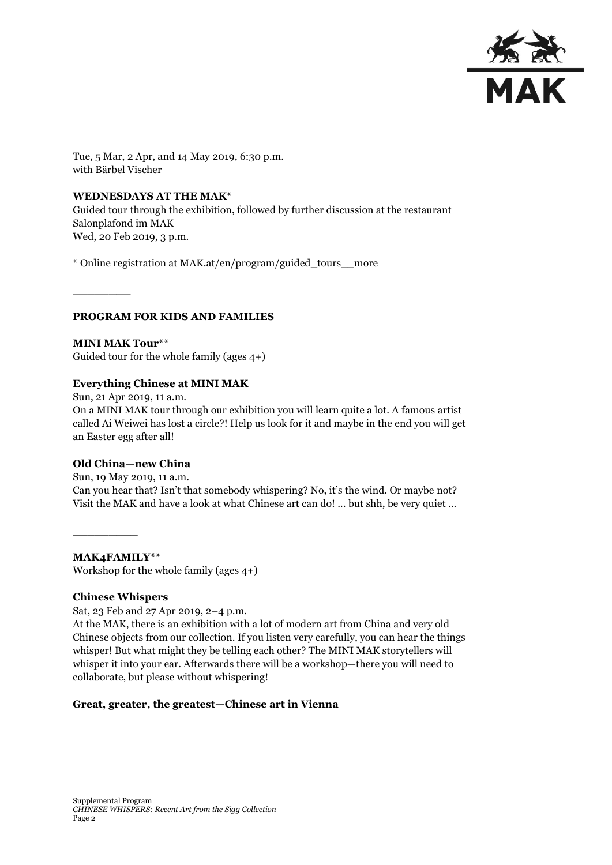

Tue, 5 Mar, 2 Apr, and 14 May 2019, 6:30 p.m. with Bärbel Vischer

#### **WEDNESDAYS AT THE MAK\***

Guided tour through the exhibition, followed by further discussion at the restaurant Salonplafond im MAK Wed, 20 Feb 2019, 3 p.m.

\* Online registration at MAK.at/en/program/guided\_tours\_\_more

#### **PROGRAM FOR KIDS AND FAMILIES**

**MINI MAK Tour\*\*** Guided tour for the whole family (ages 4+)

#### **Everything Chinese at MINI MAK**

Sun, 21 Apr 2019, 11 a.m. On a MINI MAK tour through our exhibition you will learn quite a lot. A famous artist called Ai Weiwei has lost a circle?! Help us look for it and maybe in the end you will get an Easter egg after all!

#### **Old China—new China**

**\_\_\_\_\_\_\_\_**

Sun, 19 May 2019, 11 a.m. Can you hear that? Isn't that somebody whispering? No, it's the wind. Or maybe not? Visit the MAK and have a look at what Chinese art can do! ... but shh, be very quiet …

**MAK4FAMILY\*\*** Workshop for the whole family (ages 4+)

#### **Chinese Whispers**

**\_\_\_\_\_\_\_\_\_**

Sat, 23 Feb and 27 Apr 2019, 2–4 p.m.

At the MAK, there is an exhibition with a lot of modern art from China and very old Chinese objects from our collection. If you listen very carefully, you can hear the things whisper! But what might they be telling each other? The MINI MAK storytellers will whisper it into your ear. Afterwards there will be a workshop—there you will need to collaborate, but please without whispering!

#### **Great, greater, the greatest—Chinese art in Vienna**